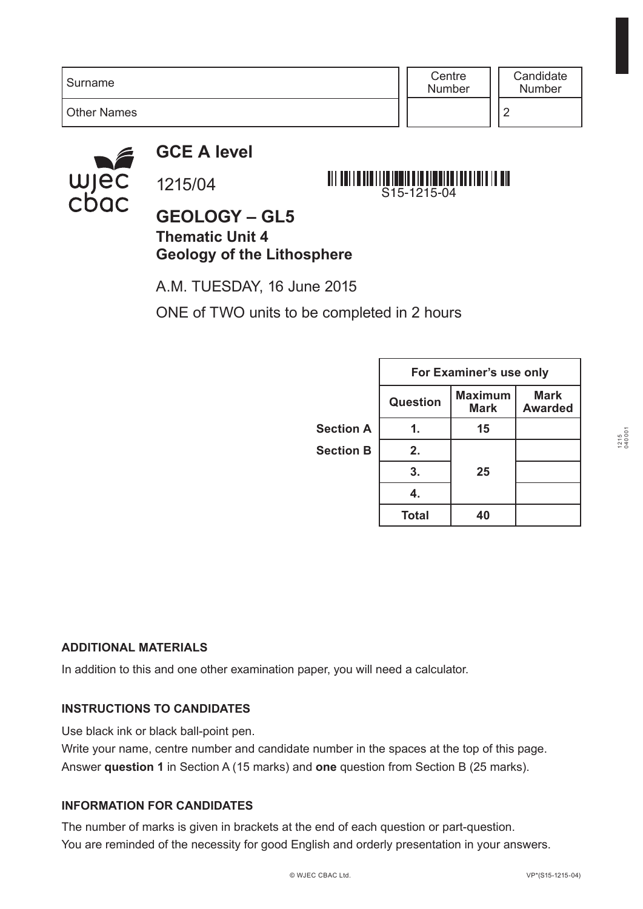Surname

**Centre** Number

Number

wjec<br>cbac

Other Names

## **GCE A level**

1215/04



**GEOLOGY – GL5 Thematic Unit 4 Geology of the Lithosphere**

A.M. TUESDAY, 16 June 2015

ONE of TWO units to be completed in 2 hours

|                  | For Examiner's use only                                                           |    |  |  |  |
|------------------|-----------------------------------------------------------------------------------|----|--|--|--|
|                  | <b>Maximum</b><br><b>Mark</b><br><b>Question</b><br><b>Awarded</b><br><b>Mark</b> |    |  |  |  |
| <b>Section A</b> | 1.                                                                                | 15 |  |  |  |
| <b>Section B</b> | 2.                                                                                |    |  |  |  |
|                  | 3.                                                                                | 25 |  |  |  |
|                  | 4.                                                                                |    |  |  |  |
|                  | <b>Total</b>                                                                      | 40 |  |  |  |

## **ADDITIONAL MATERIALS**

In addition to this and one other examination paper, you will need a calculator.

## **INSTRUCTIONS TO CANDIDATES**

Use black ink or black ball-point pen.

Write your name, centre number and candidate number in the spaces at the top of this page. Answer **question 1** in Section A (15 marks) and **one** question from Section B (25 marks).

## **INFORMATION FOR CANDIDATES**

The number of marks is given in brackets at the end of each question or part-question. You are reminded of the necessity for good English and orderly presentation in your answers.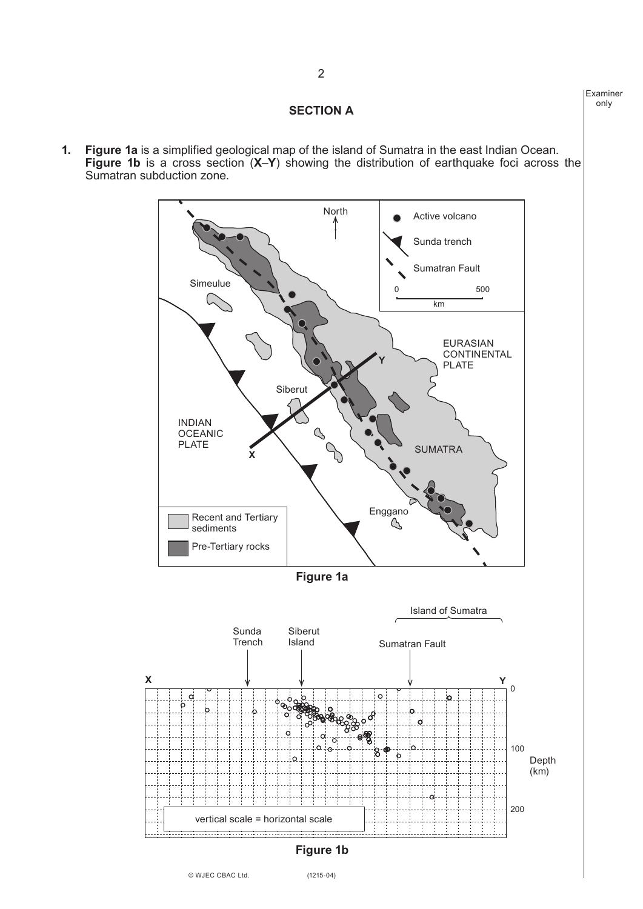## **SECTION A**

2

**1. Figure 1a** is a simplified geological map of the island of Sumatra in the east Indian Ocean. **Figure 1b** is a cross section (**X**–**Y**) showing the distribution of earthquake foci across the Sumatran subduction zone.



Examiner

only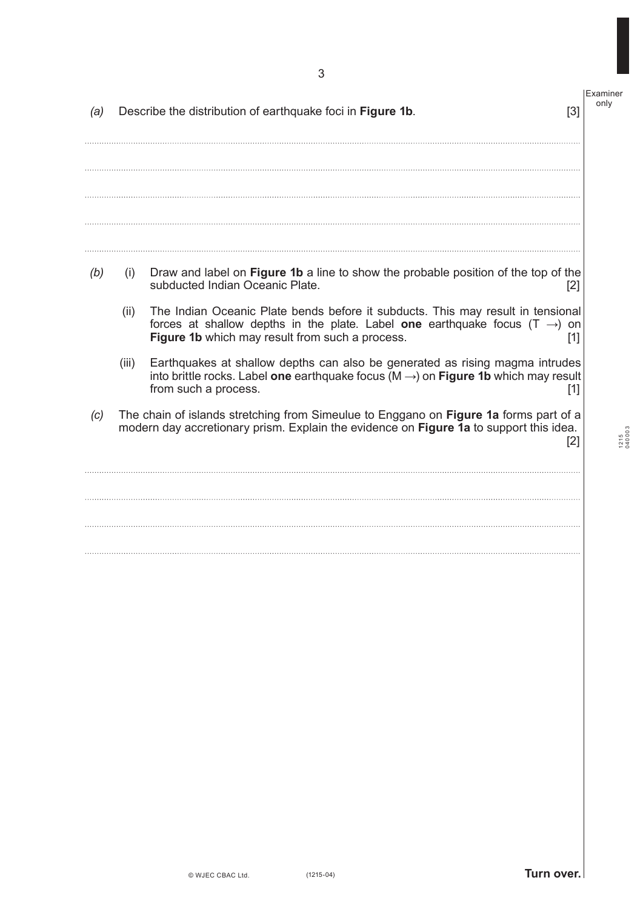| (a) |       | Describe the distribution of earthquake foci in Figure 1b.<br>$[3]$                                                                                                                                                                     | Examiner<br>only |
|-----|-------|-----------------------------------------------------------------------------------------------------------------------------------------------------------------------------------------------------------------------------------------|------------------|
|     |       |                                                                                                                                                                                                                                         |                  |
| (b) | (i)   | Draw and label on <b>Figure 1b</b> a line to show the probable position of the top of the<br>subducted Indian Oceanic Plate.<br>$[2]$                                                                                                   |                  |
|     | (ii)  | The Indian Oceanic Plate bends before it subducts. This may result in tensional<br>forces at shallow depths in the plate. Label one earthquake focus ( $T \rightarrow$ ) on<br>Figure 1b which may result from such a process.<br>$[1]$ |                  |
|     | (iii) | Earthquakes at shallow depths can also be generated as rising magma intrudes<br>into brittle rocks. Label one earthquake focus ( $M \rightarrow$ ) on Figure 1b which may result<br>from such a process.<br>[1]                         |                  |
| (c) |       | The chain of islands stretching from Simeulue to Enggano on Figure 1a forms part of a<br>modern day accretionary prism. Explain the evidence on Figure 1a to support this idea.<br>$[2]$                                                |                  |
|     |       |                                                                                                                                                                                                                                         |                  |
|     |       |                                                                                                                                                                                                                                         |                  |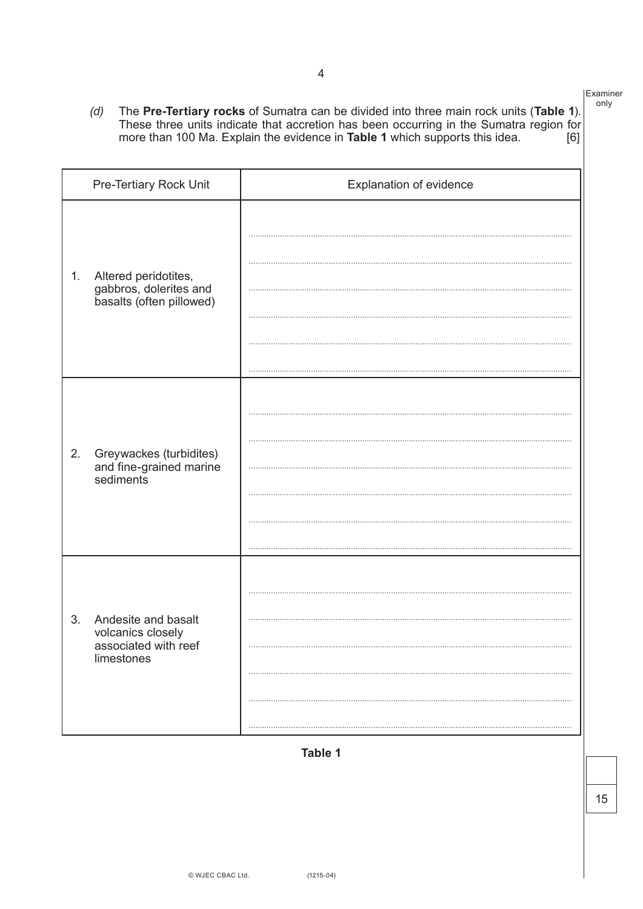#### Examiner only

The **Pre-Tertiary rocks** of Sumatra can be divided into three main rock units (**Table 1**).<br>These three units indicate that accretion has been occurring in the Sumatra region for more than 100 Ma. Explain the evidence in **T**  $(d)$ 

|    | Pre-Tertiary Rock Unit                                                         | Explanation of evidence |
|----|--------------------------------------------------------------------------------|-------------------------|
| 1. | Altered peridotites,<br>gabbros, dolerites and<br>basalts (often pillowed)     |                         |
| 2. | Greywackes (turbidites)<br>and fine-grained marine<br>sediments                |                         |
| 3. | Andesite and basalt<br>volcanics closely<br>associated with reef<br>limestones |                         |

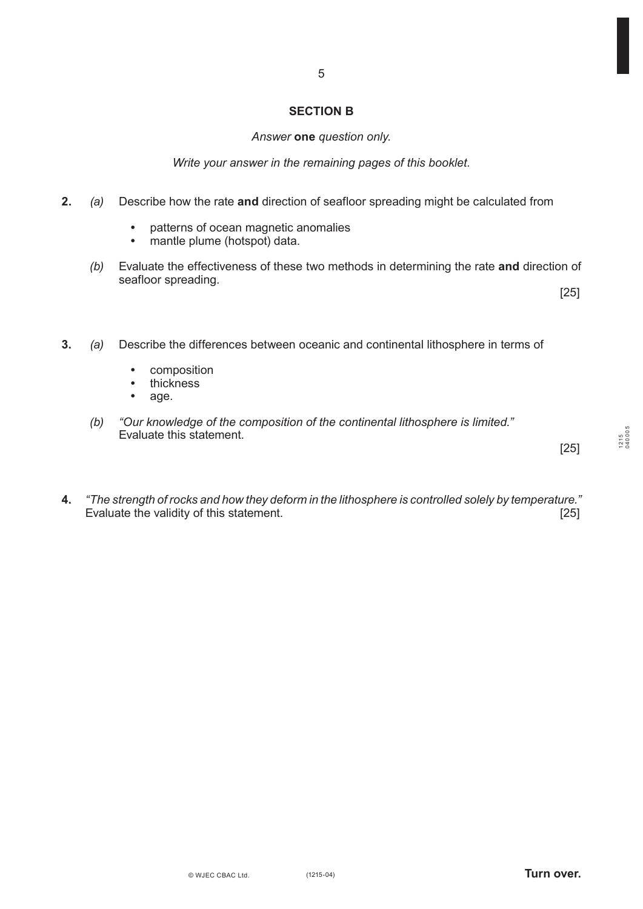## **SECTION B**

5

## *Answer* **one** *question only.*

## *Write your answer in the remaining pages of this booklet.*

- **2.** *(a)* Describe how the rate **and** direction of seafloor spreading might be calculated from
	- patterns of ocean magnetic anomalies<br>• mantle plume (botspot) data
	- **•** mantle plume (hotspot) data.
	- *(b)* Evaluate the effectiveness of these two methods in determining the rate **and** direction of seafloor spreading.

[25]

[25]

- **3.** *(a)* Describe the differences between oceanic and continental lithosphere in terms of
	- **•** composition
	- **•** thickness
	- **•** age.
	- *(b) "Our knowledge of the composition of the continental lithosphere is limited."* Evaluate this statement.

1215 040005

**4.** *"The strength of rocks and how they deform in the lithosphere is controlled solely by temperature."* Evaluate the validity of this statement.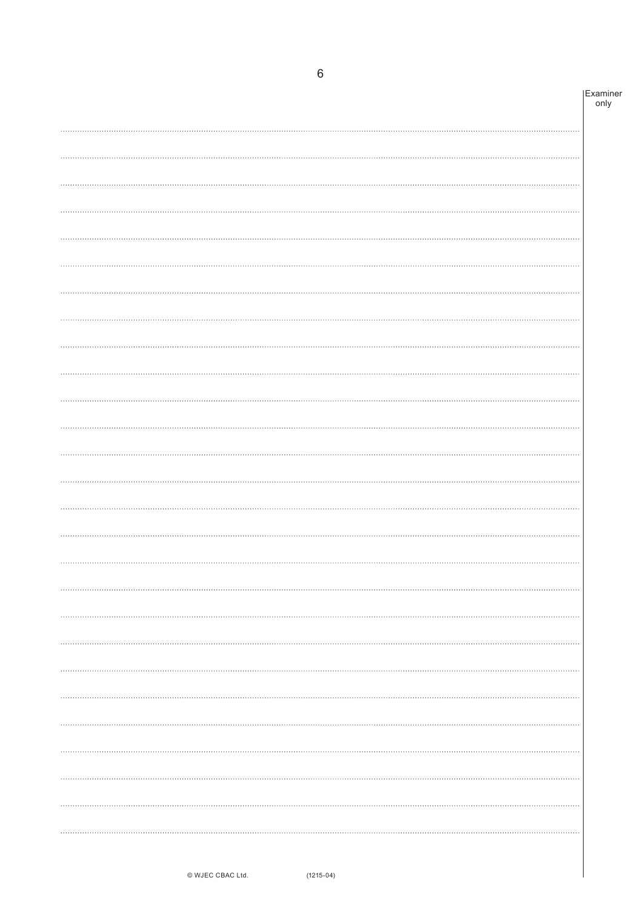| © WJEC CBAC Ltd. |  |
|------------------|--|
|                  |  |

| $(1215-04)$ |
|-------------|
|-------------|

| Examiner<br>only |
|------------------|
|                  |
|                  |
|                  |
|                  |
|                  |
|                  |
|                  |
|                  |
|                  |
|                  |
|                  |
|                  |
|                  |
|                  |
|                  |
|                  |
|                  |
|                  |
|                  |
|                  |
|                  |
|                  |
|                  |
|                  |
|                  |
|                  |

 $\overline{\phantom{a}}$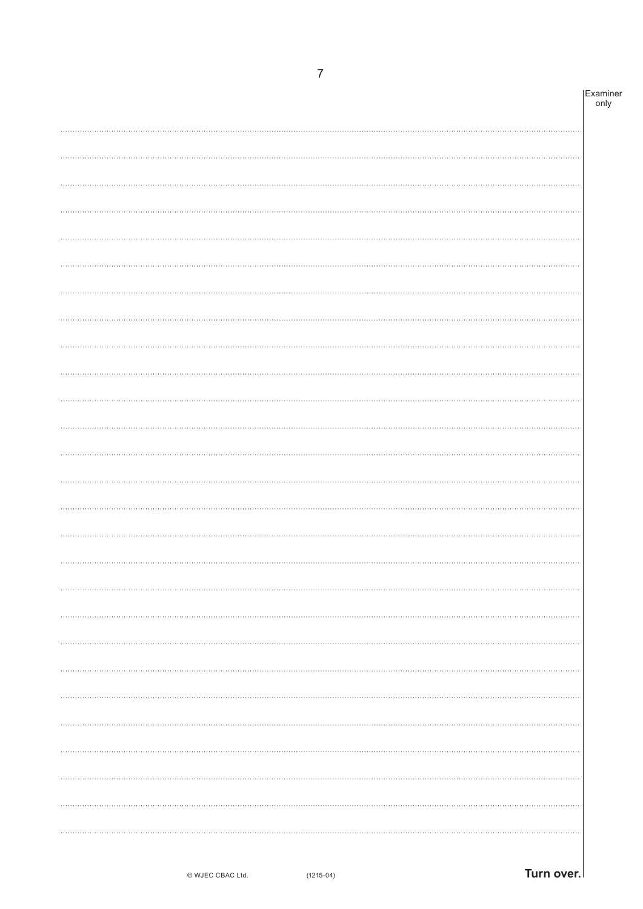| Examiner<br>only |
|------------------|
|                  |
|                  |
|                  |
|                  |
|                  |
|                  |
|                  |
|                  |
|                  |
|                  |
|                  |
|                  |
|                  |
|                  |
|                  |
|                  |
|                  |
|                  |
|                  |
|                  |
|                  |
|                  |
|                  |
|                  |
|                  |
|                  |
|                  |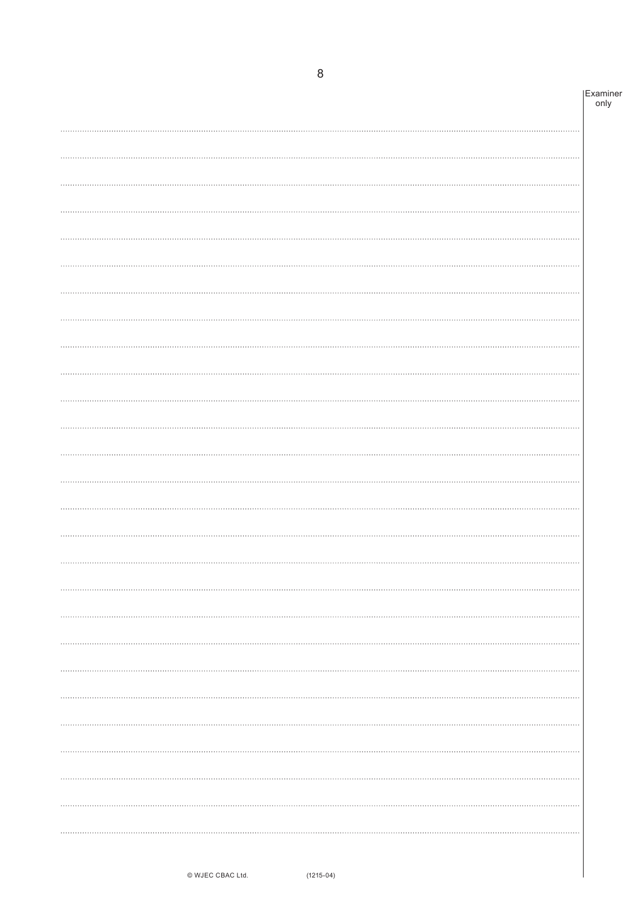| $(1215-04)$ |  |
|-------------|--|
|-------------|--|

| . | Examiner<br>only |
|---|------------------|
|   |                  |
|   |                  |
|   |                  |
|   |                  |
|   |                  |
|   |                  |
|   |                  |
|   |                  |
|   |                  |
|   |                  |
|   |                  |
|   |                  |
|   |                  |
|   |                  |
|   |                  |
|   |                  |
|   |                  |
|   |                  |
|   |                  |
|   |                  |
|   |                  |
|   |                  |
|   |                  |
|   |                  |
|   |                  |

 $\overline{\phantom{a}}$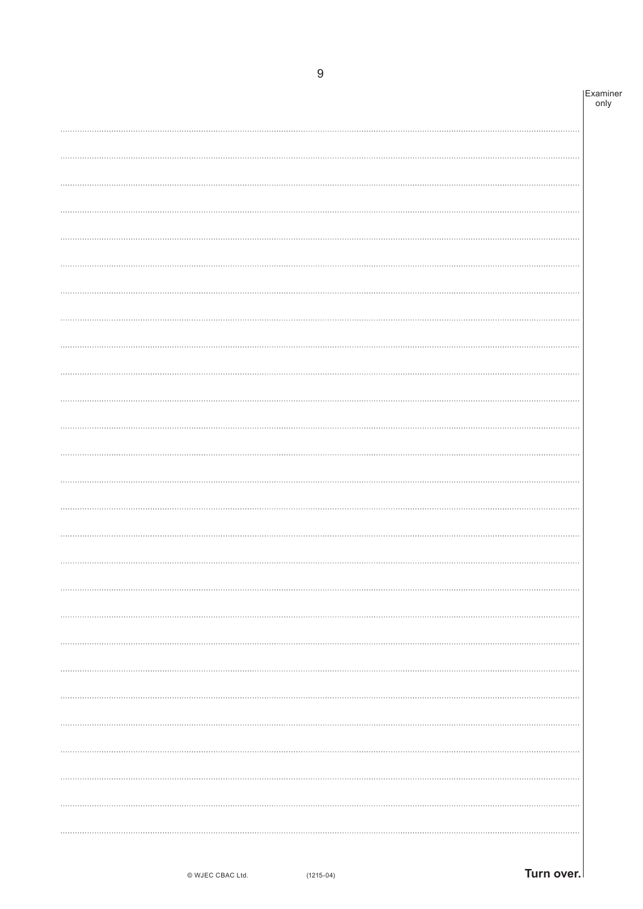| Examiner<br>only |
|------------------|
|                  |
|                  |
|                  |
|                  |
|                  |
|                  |
|                  |
|                  |
|                  |
|                  |
|                  |
|                  |
|                  |
|                  |
|                  |
|                  |
|                  |
|                  |
|                  |
|                  |
|                  |
|                  |
|                  |
|                  |
|                  |
|                  |

(1215-04)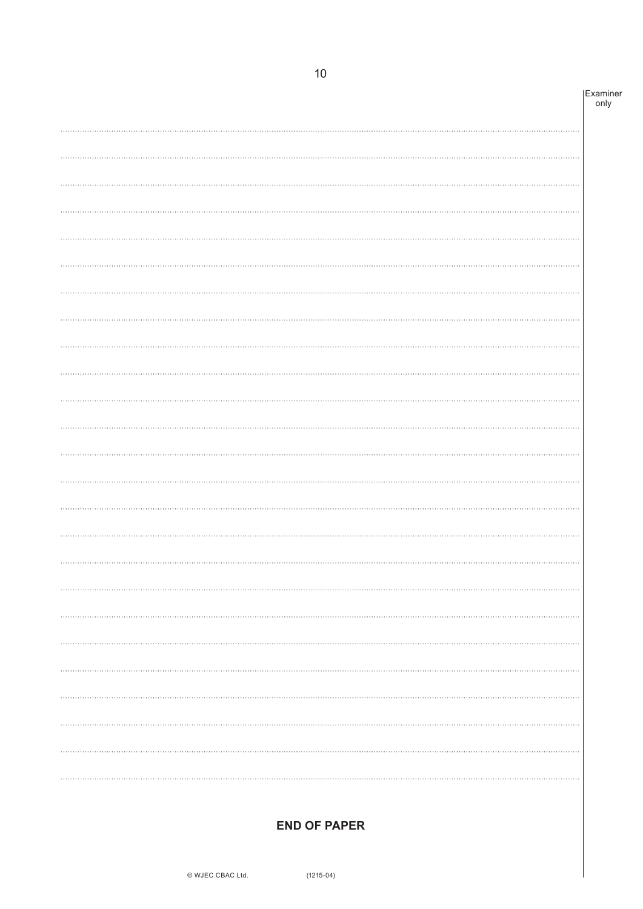| © WJEC CBAC Ltd. | $(1215-04)$ |
|------------------|-------------|

| 10                  |                  |
|---------------------|------------------|
|                     | Examineı<br>only |
|                     |                  |
|                     |                  |
|                     |                  |
|                     |                  |
|                     |                  |
|                     |                  |
|                     |                  |
|                     |                  |
|                     |                  |
|                     |                  |
|                     |                  |
|                     |                  |
|                     |                  |
|                     |                  |
|                     |                  |
|                     |                  |
|                     |                  |
|                     |                  |
|                     |                  |
|                     |                  |
|                     |                  |
|                     |                  |
|                     |                  |
|                     |                  |
|                     |                  |
|                     |                  |
|                     |                  |
| .                   |                  |
|                     |                  |
|                     |                  |
|                     |                  |
|                     |                  |
|                     |                  |
|                     |                  |
|                     |                  |
| <b>END OF PAPER</b> |                  |